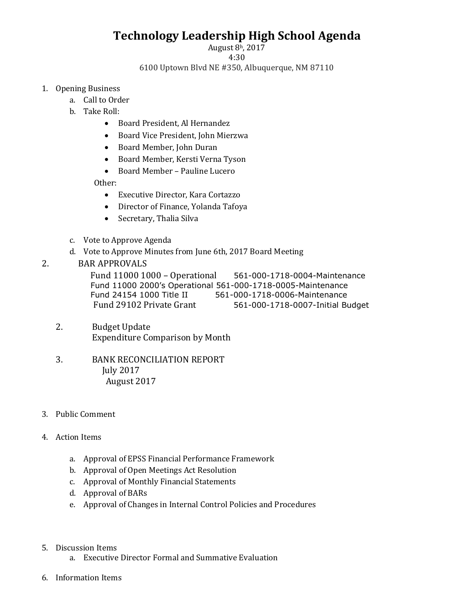## **Technology Leadership High School Agenda**

August 8h, 2017

4:30

6100 Uptown Blvd NE #350, Albuquerque, NM 87110

- 1. Opening Business
	- a. Call to Order
	- b. Take Roll:
		- Board President, Al Hernandez
		- Board Vice President, John Mierzwa
		- Board Member, John Duran
		- Board Member, Kersti Verna Tyson
		- Board Member Pauline Lucero

Other:

- Executive Director, Kara Cortazzo
- Director of Finance, Yolanda Tafoya
- Secretary, Thalia Silva
- c. Vote to Approve Agenda
- d. Vote to Approve Minutes from June 6th, 2017 Board Meeting

## 2. BAR APPROVALS

Fund 11000 1000 – Operational 561-000-1718-0004-Maintenance Fund 11000 2000's Operational 561-000-1718-0005-Maintenance Fund 24154 1000 Title II 561-000-1718-0006-Maintenance Fund 29102 Private Grant 561-000-1718-0007-Initial Budget

- 2. Budget Update Expenditure Comparison by Month
- 3. BANK RECONCILIATION REPORT July 2017 August 2017
- 3. Public Comment

## 4. Action Items

- a. Approval of EPSS Financial Performance Framework
- b. Approval of Open Meetings Act Resolution
- c. Approval of Monthly Financial Statements
- d. Approval of BARs
- e. Approval of Changes in Internal Control Policies and Procedures
- 5. Discussion Items
	- a. Executive Director Formal and Summative Evaluation
- 6. Information Items